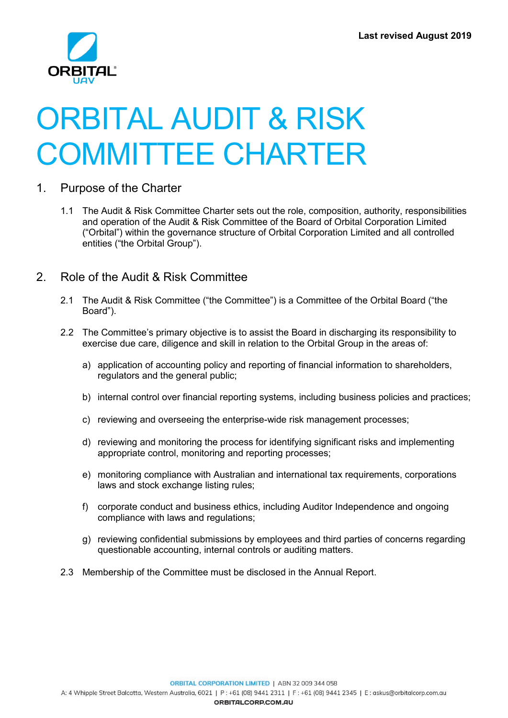

# ORBITAL AUDIT & RISK COMMITTEE CHARTER

- 1. Purpose of the Charter
	- 1.1 The Audit & Risk Committee Charter sets out the role, composition, authority, responsibilities and operation of the Audit & Risk Committee of the Board of Orbital Corporation Limited ("Orbital") within the governance structure of Orbital Corporation Limited and all controlled entities ("the Orbital Group").
- 2. Role of the Audit & Risk Committee
	- 2.1 The Audit & Risk Committee ("the Committee") is a Committee of the Orbital Board ("the Board").
	- 2.2 The Committee's primary objective is to assist the Board in discharging its responsibility to exercise due care, diligence and skill in relation to the Orbital Group in the areas of:
		- a) application of accounting policy and reporting of financial information to shareholders, regulators and the general public;
		- b) internal control over financial reporting systems, including business policies and practices;
		- c) reviewing and overseeing the enterprise-wide risk management processes;
		- d) reviewing and monitoring the process for identifying significant risks and implementing appropriate control, monitoring and reporting processes;
		- e) monitoring compliance with Australian and international tax requirements, corporations laws and stock exchange listing rules;
		- f) corporate conduct and business ethics, including Auditor Independence and ongoing compliance with laws and regulations;
		- g) reviewing confidential submissions by employees and third parties of concerns regarding questionable accounting, internal controls or auditing matters.
	- 2.3 Membership of the Committee must be disclosed in the Annual Report.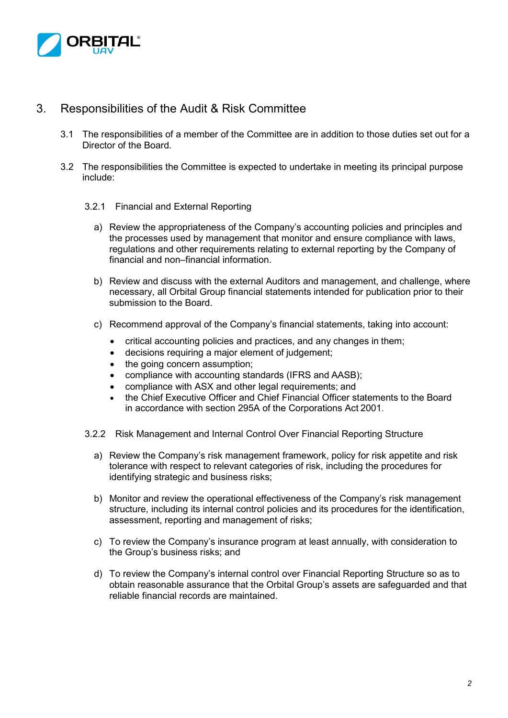

# 3. Responsibilities of the Audit & Risk Committee

- 3.1 The responsibilities of a member of the Committee are in addition to those duties set out for a Director of the Board.
- 3.2 The responsibilities the Committee is expected to undertake in meeting its principal purpose include:
	- 3.2.1 Financial and External Reporting
		- a) Review the appropriateness of the Company's accounting policies and principles and the processes used by management that monitor and ensure compliance with laws, regulations and other requirements relating to external reporting by the Company of financial and non–financial information.
		- b) Review and discuss with the external Auditors and management, and challenge, where necessary, all Orbital Group financial statements intended for publication prior to their submission to the Board.
		- c) Recommend approval of the Company's financial statements, taking into account:
			- critical accounting policies and practices, and any changes in them;
			- decisions requiring a major element of judgement;
			- the going concern assumption:
			- compliance with accounting standards (IFRS and AASB);
			- compliance with ASX and other legal requirements; and
			- the Chief Executive Officer and Chief Financial Officer statements to the Board in accordance with section 295A of the Corporations Act 2001.
	- 3.2.2 Risk Management and Internal Control Over Financial Reporting Structure
		- a) Review the Company's risk management framework, policy for risk appetite and risk tolerance with respect to relevant categories of risk, including the procedures for identifying strategic and business risks;
		- b) Monitor and review the operational effectiveness of the Company's risk management structure, including its internal control policies and its procedures for the identification, assessment, reporting and management of risks;
		- c) To review the Company's insurance program at least annually, with consideration to the Group's business risks; and
		- d) To review the Company's internal control over Financial Reporting Structure so as to obtain reasonable assurance that the Orbital Group's assets are safeguarded and that reliable financial records are maintained.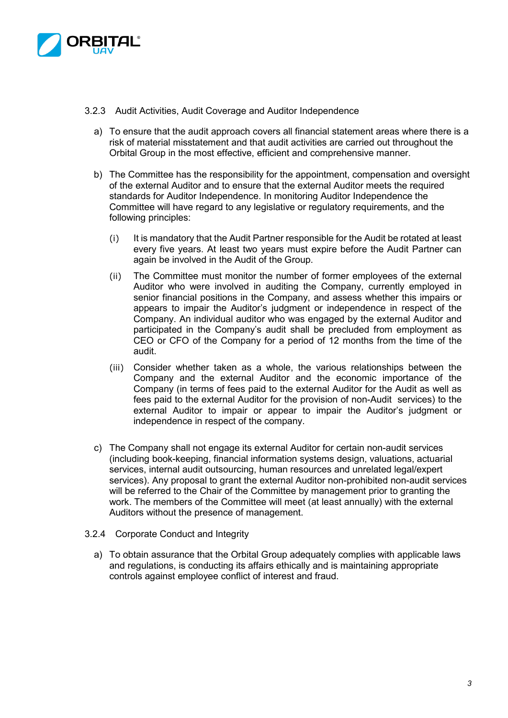

- 3.2.3 Audit Activities, Audit Coverage and Auditor Independence
	- a) To ensure that the audit approach covers all financial statement areas where there is a risk of material misstatement and that audit activities are carried out throughout the Orbital Group in the most effective, efficient and comprehensive manner.
	- b) The Committee has the responsibility for the appointment, compensation and oversight of the external Auditor and to ensure that the external Auditor meets the required standards for Auditor Independence. In monitoring Auditor Independence the Committee will have regard to any legislative or regulatory requirements, and the following principles:
		- (i) It is mandatory that the Audit Partner responsible for the Audit be rotated at least every five years. At least two years must expire before the Audit Partner can again be involved in the Audit of the Group.
		- (ii) The Committee must monitor the number of former employees of the external Auditor who were involved in auditing the Company, currently employed in senior financial positions in the Company, and assess whether this impairs or appears to impair the Auditor's judgment or independence in respect of the Company. An individual auditor who was engaged by the external Auditor and participated in the Company's audit shall be precluded from employment as CEO or CFO of the Company for a period of 12 months from the time of the audit.
		- (iii) Consider whether taken as a whole, the various relationships between the Company and the external Auditor and the economic importance of the Company (in terms of fees paid to the external Auditor for the Audit as well as fees paid to the external Auditor for the provision of non-Audit services) to the external Auditor to impair or appear to impair the Auditor's judgment or independence in respect of the company.
	- c) The Company shall not engage its external Auditor for certain non-audit services (including book-keeping, financial information systems design, valuations, actuarial services, internal audit outsourcing, human resources and unrelated legal/expert services). Any proposal to grant the external Auditor non-prohibited non-audit services will be referred to the Chair of the Committee by management prior to granting the work. The members of the Committee will meet (at least annually) with the external Auditors without the presence of management.
- 3.2.4 Corporate Conduct and Integrity
	- a) To obtain assurance that the Orbital Group adequately complies with applicable laws and regulations, is conducting its affairs ethically and is maintaining appropriate controls against employee conflict of interest and fraud.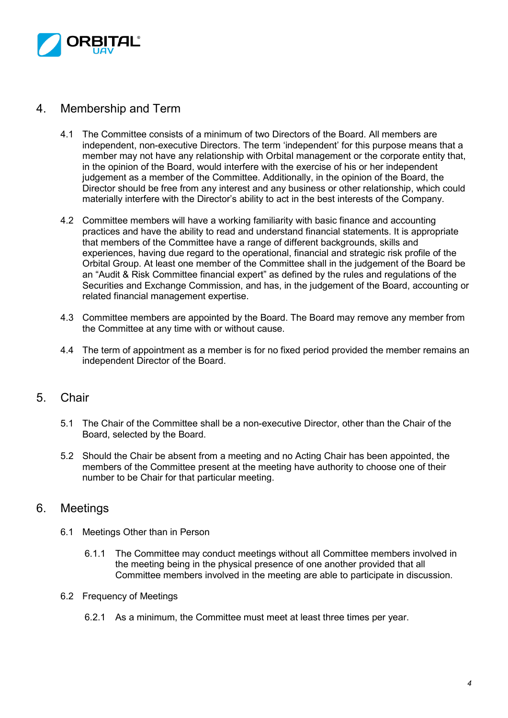

## 4. Membership and Term

- 4.1 The Committee consists of a minimum of two Directors of the Board. All members are independent, non-executive Directors. The term 'independent' for this purpose means that a member may not have any relationship with Orbital management or the corporate entity that, in the opinion of the Board, would interfere with the exercise of his or her independent judgement as a member of the Committee. Additionally, in the opinion of the Board, the Director should be free from any interest and any business or other relationship, which could materially interfere with the Director's ability to act in the best interests of the Company.
- 4.2 Committee members will have a working familiarity with basic finance and accounting practices and have the ability to read and understand financial statements. It is appropriate that members of the Committee have a range of different backgrounds, skills and experiences, having due regard to the operational, financial and strategic risk profile of the Orbital Group. At least one member of the Committee shall in the judgement of the Board be an "Audit & Risk Committee financial expert" as defined by the rules and regulations of the Securities and Exchange Commission, and has, in the judgement of the Board, accounting or related financial management expertise.
- 4.3 Committee members are appointed by the Board. The Board may remove any member from the Committee at any time with or without cause.
- 4.4 The term of appointment as a member is for no fixed period provided the member remains an independent Director of the Board.

## 5. Chair

- 5.1 The Chair of the Committee shall be a non-executive Director, other than the Chair of the Board, selected by the Board.
- 5.2 Should the Chair be absent from a meeting and no Acting Chair has been appointed, the members of the Committee present at the meeting have authority to choose one of their number to be Chair for that particular meeting.

## 6. Meetings

- 6.1 Meetings Other than in Person
	- 6.1.1 The Committee may conduct meetings without all Committee members involved in the meeting being in the physical presence of one another provided that all Committee members involved in the meeting are able to participate in discussion.
- 6.2 Frequency of Meetings
	- 6.2.1 As a minimum, the Committee must meet at least three times per year.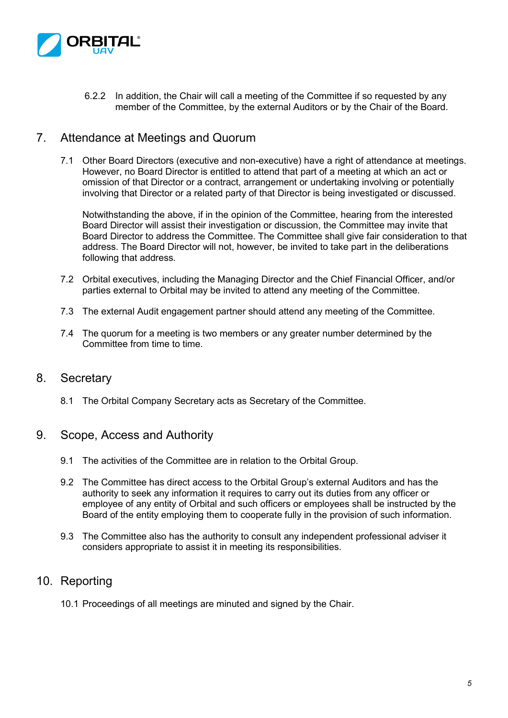

6.2.2 In addition, the Chair will call a meeting of the Committee if so requested by any member of the Committee, by the external Auditors or by the Chair of the Board.

### 7. Attendance at Meetings and Quorum

7.1 Other Board Directors (executive and non-executive) have a right of attendance at meetings. However, no Board Director is entitled to attend that part of a meeting at which an act or omission of that Director or a contract, arrangement or undertaking involving or potentially involving that Director or a related party of that Director is being investigated or discussed.

Notwithstanding the above, if in the opinion of the Committee, hearing from the interested Board Director will assist their investigation or discussion, the Committee may invite that Board Director to address the Committee. The Committee shall give fair consideration to that address. The Board Director will not, however, be invited to take part in the deliberations following that address.

- 7.2 Orbital executives, including the Managing Director and the Chief Financial Officer, and/or parties external to Orbital may be invited to attend any meeting of the Committee.
- 7.3 The external Audit engagement partner should attend any meeting of the Committee.
- 7.4 The quorum for a meeting is two members or any greater number determined by the Committee from time to time.

#### 8. Secretary

8.1 The Orbital Company Secretary acts as Secretary of the Committee.

#### 9. Scope, Access and Authority

- 9.1 The activities of the Committee are in relation to the Orbital Group.
- 9.2 The Committee has direct access to the Orbital Group's external Auditors and has the authority to seek any information it requires to carry out its duties from any officer or employee of any entity of Orbital and such officers or employees shall be instructed by the Board of the entity employing them to cooperate fully in the provision of such information.
- 9.3 The Committee also has the authority to consult any independent professional adviser it considers appropriate to assist it in meeting its responsibilities.

## 10. Reporting

10.1 Proceedings of all meetings are minuted and signed by the Chair.